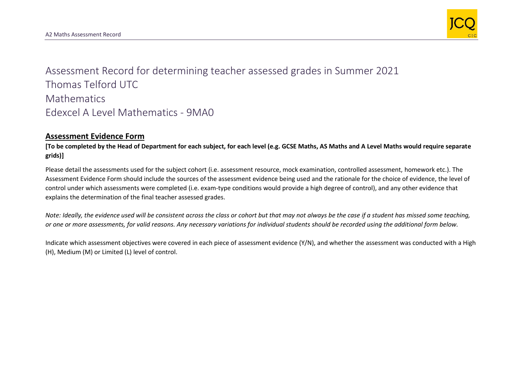

Assessment Record for determining teacher assessed grades in Summer 2021 Thomas Telford UTC **Mathematics** Edexcel A Level Mathematics - 9MA0

## **Assessment Evidence Form**

**[To be completed by the Head of Department for each subject, for each level (e.g. GCSE Maths, AS Maths and A Level Maths would require separate grids)]**

Please detail the assessments used for the subject cohort (i.e. assessment resource, mock examination, controlled assessment, homework etc.). The Assessment Evidence Form should include the sources of the assessment evidence being used and the rationale for the choice of evidence, the level of control under which assessments were completed (i.e. exam-type conditions would provide a high degree of control), and any other evidence that explains the determination of the final teacher assessed grades.

*Note: Ideally, the evidence used will be consistent across the class or cohort but that may not always be the case if a student has missed some teaching, or one or more assessments, for valid reasons. Any necessary variations for individual students should be recorded using the additional form below.* 

Indicate which assessment objectives were covered in each piece of assessment evidence (Y/N), and whether the assessment was conducted with a High (H), Medium (M) or Limited (L) level of control.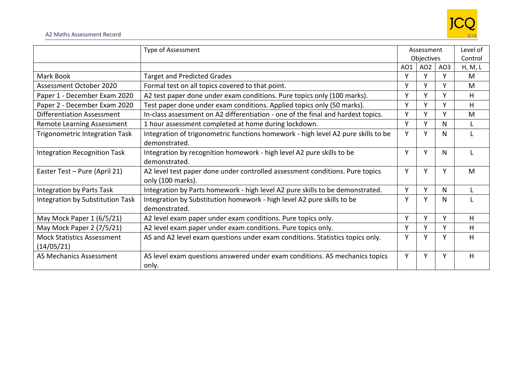

|                                                 | Type of Assessment                                                                                 | Assessment      |                 |                 | Level of |
|-------------------------------------------------|----------------------------------------------------------------------------------------------------|-----------------|-----------------|-----------------|----------|
|                                                 |                                                                                                    | Objectives      |                 | Control         |          |
|                                                 |                                                                                                    | AO <sub>1</sub> | AO <sub>2</sub> | AO <sub>3</sub> | H, M, L  |
| Mark Book                                       | <b>Target and Predicted Grades</b>                                                                 | ۷               | Υ               |                 | M        |
| Assessment October 2020                         | Formal test on all topics covered to that point.                                                   | v               | Υ               | v               | M        |
| Paper 1 - December Exam 2020                    | A2 test paper done under exam conditions. Pure topics only (100 marks).                            | ۷               | Y               | v               | H        |
| Paper 2 - December Exam 2020                    | Test paper done under exam conditions. Applied topics only (50 marks).                             | Y               | Y               | v               | н        |
| Differentiation Assessment                      | In-class assessment on A2 differentiation - one of the final and hardest topics.                   | v               | Y               | v               | M        |
| Remote Learning Assessment                      | 1 hour assessment completed at home during lockdown.                                               | ۷               | Y               | N               |          |
| <b>Trigonometric Integration Task</b>           | Integration of trigonometric functions homework - high level A2 pure skills to be<br>demonstrated. | Y               | Y               | N.              |          |
| <b>Integration Recognition Task</b>             | Integration by recognition homework - high level A2 pure skills to be<br>demonstrated.             | Y               | Y               | N               |          |
| Easter Test - Pure (April 21)                   | A2 level test paper done under controlled assessment conditions. Pure topics<br>only (100 marks).  | Y               | Y               | v               | М        |
| <b>Integration by Parts Task</b>                | Integration by Parts homework - high level A2 pure skills to be demonstrated.                      | Y               | Y               | N               |          |
| Integration by Substitution Task                | Integration by Substitution homework - high level A2 pure skills to be<br>demonstrated.            | ۷               | Y               | N               |          |
| May Mock Paper 1 (6/5/21)                       | A2 level exam paper under exam conditions. Pure topics only.                                       | $\mathsf{v}$    | Y               | v               | н        |
| May Mock Paper 2 (7/5/21)                       | A2 level exam paper under exam conditions. Pure topics only.                                       | Y               | Y               | Y               | H        |
| <b>Mock Statistics Assessment</b><br>(14/05/21) | AS and A2 level exam questions under exam conditions. Statistics topics only.                      | ۷               | Y               |                 | H        |
| AS Mechanics Assessment                         | AS level exam questions answered under exam conditions. AS mechanics topics<br>only.               | Υ               | Υ               |                 | H        |